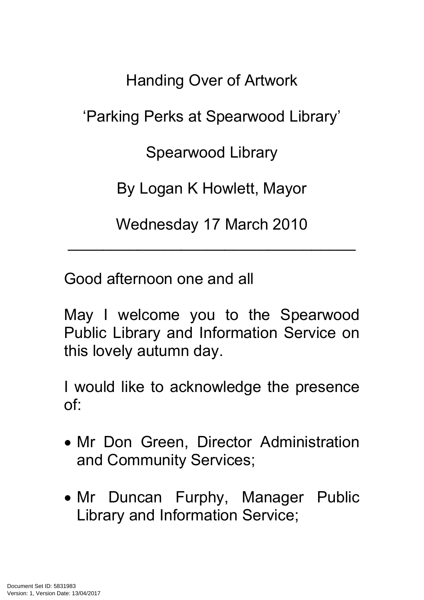Handing Over of Artwork 'Parking Perks at Spearwood Library' Spearwood Library By Logan K Howlett, Mayor

Wednesday 17 March 2010

 $\mathcal{L}_\text{max}$  and  $\mathcal{L}_\text{max}$  and  $\mathcal{L}_\text{max}$  are the set of  $\mathcal{L}_\text{max}$ 

Good afternoon one and all

May I welcome you to the Spearwood Public Library and Information Service on this lovely autumn day.

I would like to acknowledge the presence of:

- Mr Don Green, Director Administration and Community Services;
- Mr Duncan Furphy, Manager Public Library and Information Service;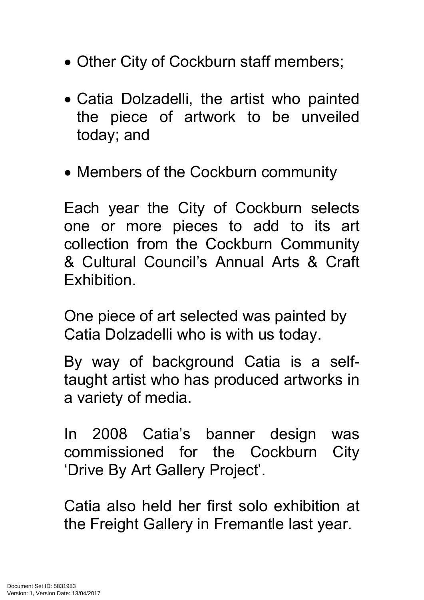- Other City of Cockburn staff members;
- Catia Dolzadelli, the artist who painted the piece of artwork to be unveiled today; and
- Members of the Cockburn community

Each year the City of Cockburn selects one or more pieces to add to its art collection from the Cockburn Community & Cultural Council's Annual Arts & Craft Exhibition.

One piece of art selected was painted by Catia Dolzadelli who is with us today.

By way of background Catia is a selftaught artist who has produced artworks in a variety of media.

In 2008 Catia's banner design was commissioned for the Cockburn City 'Drive By Art Gallery Project'.

Catia also held her first solo exhibition at the Freight Gallery in Fremantle last year.